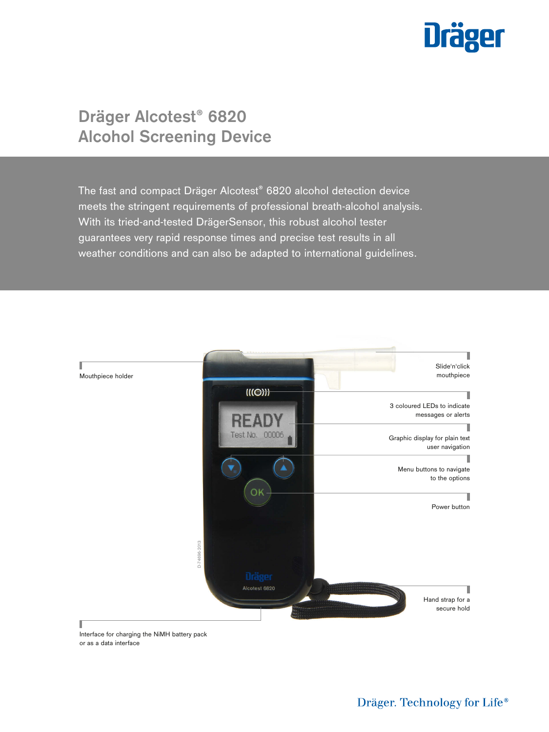

# **Dräger Alcotest® 6820 Alcohol Screening Device**

The fast and compact Dräger Alcotest® 6820 alcohol detection device meets the stringent requirements of professional breath-alcohol analysis. With its tried-and-tested DrägerSensor, this robust alcohol tester guarantees very rapid response times and precise test results in all weather conditions and can also be adapted to international guidelines.



Interface for charging the NiMH battery pack or as a data interface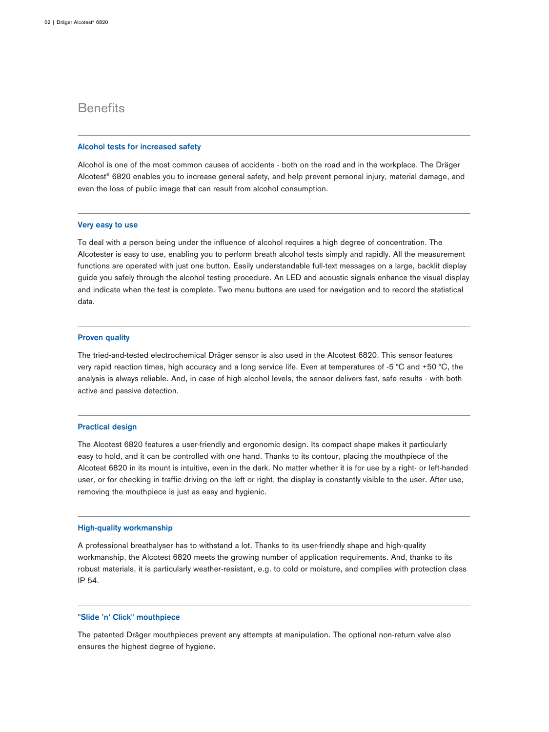## **Benefits**

#### **Alcohol tests for increased safety**

Alcohol is one of the most common causes of accidents - both on the road and in the workplace. The Dräger Alcotest® 6820 enables you to increase general safety, and help prevent personal injury, material damage, and even the loss of public image that can result from alcohol consumption.

## **Very easy to use**

To deal with a person being under the influence of alcohol requires a high degree of concentration. The Alcotester is easy to use, enabling you to perform breath alcohol tests simply and rapidly. All the measurement functions are operated with just one button. Easily understandable full-text messages on a large, backlit display guide you safely through the alcohol testing procedure. An LED and acoustic signals enhance the visual display and indicate when the test is complete. Two menu buttons are used for navigation and to record the statistical data.

## **Proven quality**

The tried-and-tested electrochemical Dräger sensor is also used in the Alcotest 6820. This sensor features very rapid reaction times, high accuracy and a long service life. Even at temperatures of -5 °C and +50 °C, the analysis is always reliable. And, in case of high alcohol levels, the sensor delivers fast, safe results - with both active and passive detection.

#### **Practical design**

The Alcotest 6820 features a user-friendly and ergonomic design. Its compact shape makes it particularly easy to hold, and it can be controlled with one hand. Thanks to its contour, placing the mouthpiece of the Alcotest 6820 in its mount is intuitive, even in the dark. No matter whether it is for use by a right- or left-handed user, or for checking in traffic driving on the left or right, the display is constantly visible to the user. After use, removing the mouthpiece is just as easy and hygienic.

## **High-quality workmanship**

A professional breathalyser has to withstand a lot. Thanks to its user-friendly shape and high-quality workmanship, the Alcotest 6820 meets the growing number of application requirements. And, thanks to its robust materials, it is particularly weather-resistant, e.g. to cold or moisture, and complies with protection class IP 54.

### **"Slide 'n' Click" mouthpiece**

The patented Dräger mouthpieces prevent any attempts at manipulation. The optional non-return valve also ensures the highest degree of hygiene.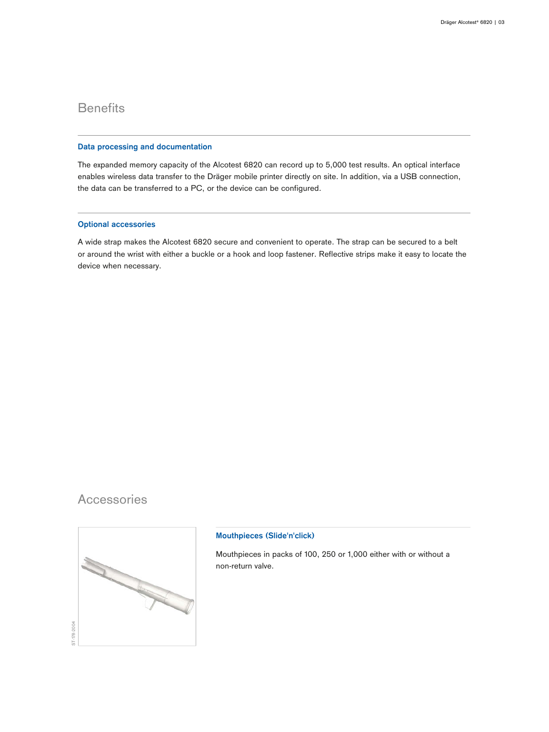## **Benefits**

### **Data processing and documentation**

The expanded memory capacity of the Alcotest 6820 can record up to 5,000 test results. An optical interface enables wireless data transfer to the Dräger mobile printer directly on site. In addition, via a USB connection, the data can be transferred to a PC, or the device can be configured.

## **Optional accessories**

A wide strap makes the Alcotest 6820 secure and convenient to operate. The strap can be secured to a belt or around the wrist with either a buckle or a hook and loop fastener. Reflective strips make it easy to locate the device when necessary.

## **Accessories**



## **Mouthpieces (Slide'n'click)**

Mouthpieces in packs of 100, 250 or 1,000 either with or without a non-return valve.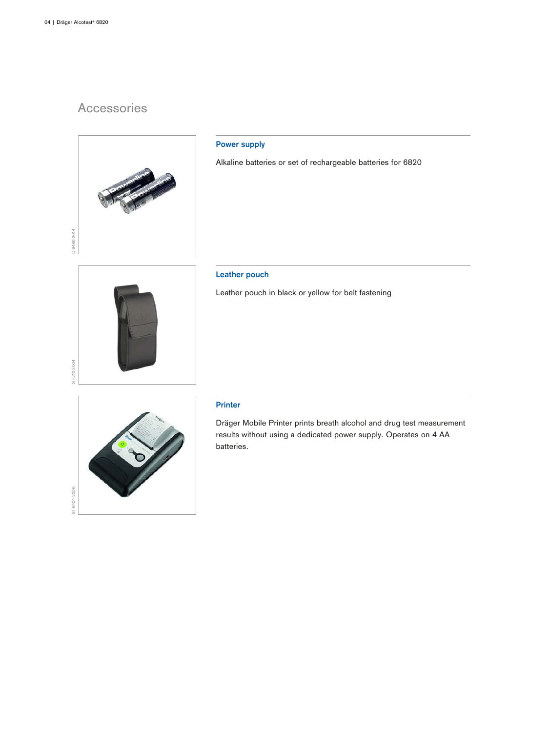## Accessories



## **Power supply**

Alkaline batteries or set of rechargeable batteries for 6820

## **Leather pouch**

Leather pouch in black or yellow for belt fastening



ST-8404-2006

## **Printer**

Dräger Mobile Printer prints breath alcohol and drug test measurement results without using a dedicated power supply. Operates on 4 AA batteries.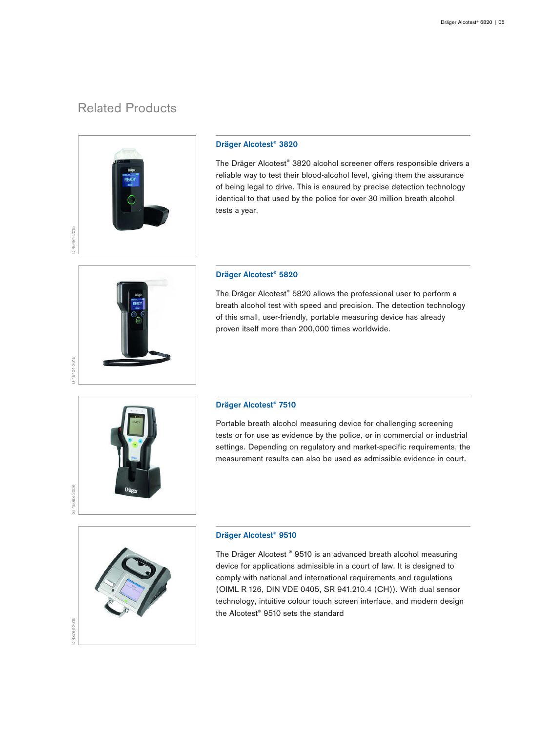## Related Products



## **Dräger Alcotest® 3820**

The Dräger Alcotest® 3820 alcohol screener offers responsible drivers a reliable way to test their blood-alcohol level, giving them the assurance of being legal to drive. This is ensured by precise detection technology identical to that used by the police for over 30 million breath alcohol tests a year.



### **Dräger Alcotest® 5820**

The Dräger Alcotest® 5820 allows the professional user to perform a breath alcohol test with speed and precision. The detection technology of this small, user-friendly, portable measuring device has already proven itself more than 200,000 times worldwide.



### **Dräger Alcotest® 7510**

Portable breath alcohol measuring device for challenging screening tests or for use as evidence by the police, or in commercial or industrial settings. Depending on regulatory and market-specific requirements, the measurement results can also be used as admissible evidence in court.



## **Dräger Alcotest® 9510**

The Dräger Alcotest ® 9510 is an advanced breath alcohol measuring device for applications admissible in a court of law. It is designed to comply with national and international requirements and regulations (OIML R 126, DIN VDE 0405, SR 941.210.4 (CH)). With dual sensor technology, intuitive colour touch screen interface, and modern design the Alcotest® 9510 sets the standard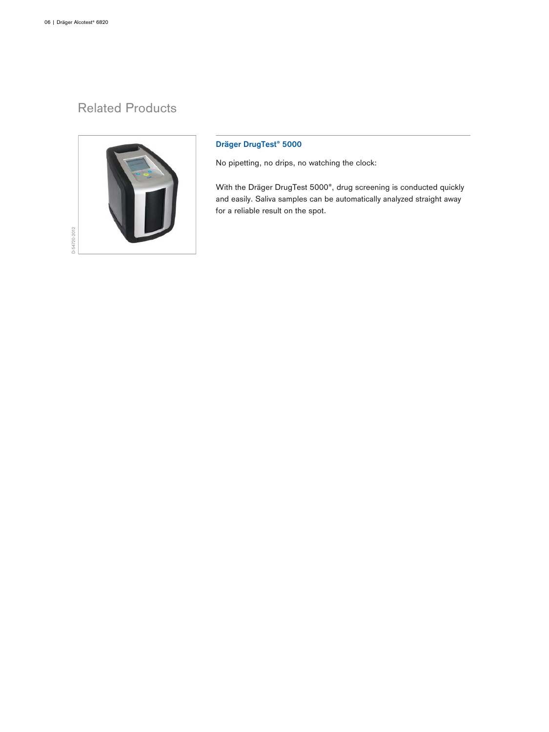## Related Products



## **Dräger DrugTest® 5000**

No pipetting, no drips, no watching the clock:

With the Dräger DrugTest 5000®, drug screening is conducted quickly and easily. Saliva samples can be automatically analyzed straight away for a reliable result on the spot.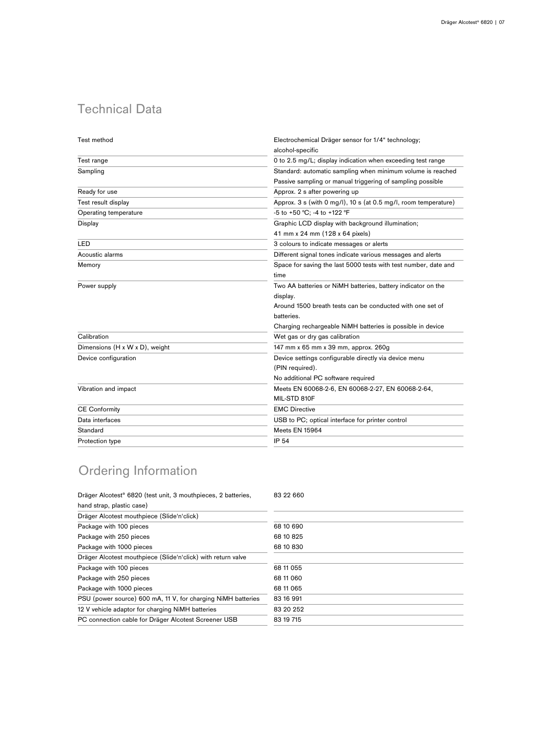## Technical Data

| Test method                    | Electrochemical Dräger sensor for 1/4" technology;              |
|--------------------------------|-----------------------------------------------------------------|
|                                | alcohol-specific                                                |
| Test range                     | 0 to 2.5 mg/L; display indication when exceeding test range     |
| Sampling                       | Standard: automatic sampling when minimum volume is reached     |
|                                | Passive sampling or manual triggering of sampling possible      |
| Ready for use                  | Approx. 2 s after powering up                                   |
| Test result display            | Approx. 3 s (with 0 mg/l), 10 s (at 0.5 mg/l, room temperature) |
| Operating temperature          | -5 to +50 °C; -4 to +122 °F                                     |
| Display                        | Graphic LCD display with background illumination;               |
|                                | 41 mm x 24 mm (128 x 64 pixels)                                 |
| LED                            | 3 colours to indicate messages or alerts                        |
| Acoustic alarms                | Different signal tones indicate various messages and alerts     |
| Memory                         | Space for saving the last 5000 tests with test number, date and |
|                                | time                                                            |
| Power supply                   | Two AA batteries or NiMH batteries, battery indicator on the    |
|                                | display.                                                        |
|                                | Around 1500 breath tests can be conducted with one set of       |
|                                | batteries.                                                      |
|                                | Charging rechargeable NiMH batteries is possible in device      |
| Calibration                    | Wet gas or dry gas calibration                                  |
| Dimensions (H x W x D), weight | 147 mm x 65 mm x 39 mm, approx. 260g                            |
| Device configuration           | Device settings configurable directly via device menu           |
|                                | (PIN required).                                                 |
|                                | No additional PC software required                              |
| Vibration and impact           | Meets EN 60068-2-6, EN 60068-2-27, EN 60068-2-64,               |
|                                | MIL-STD 810F                                                    |
| <b>CE Conformity</b>           | <b>EMC Directive</b>                                            |
| Data interfaces                | USB to PC; optical interface for printer control                |
| Standard                       | Meets EN 15964                                                  |
| Protection type                | <b>IP 54</b>                                                    |
|                                |                                                                 |

# Ordering Information

| Dräger Alcotest <sup>®</sup> 6820 (test unit, 3 mouthpieces, 2 batteries, | 83 22 660 |
|---------------------------------------------------------------------------|-----------|
| hand strap, plastic case)                                                 |           |
| Dräger Alcotest mouthpiece (Slide'n'click)                                |           |
| Package with 100 pieces                                                   | 68 10 690 |
| Package with 250 pieces                                                   | 68 10 825 |
| Package with 1000 pieces                                                  | 68 10 830 |
| Dräger Alcotest mouthpiece (Slide'n'click) with return valve              |           |
| Package with 100 pieces                                                   | 68 11 055 |
| Package with 250 pieces                                                   | 68 11 060 |
| Package with 1000 pieces                                                  | 68 11 065 |
| PSU (power source) 600 mA, 11 V, for charging NiMH batteries              | 83 16 991 |
| 12 V vehicle adaptor for charging NiMH batteries                          | 83 20 252 |
| PC connection cable for Dräger Alcotest Screener USB                      | 83 19 715 |
|                                                                           |           |